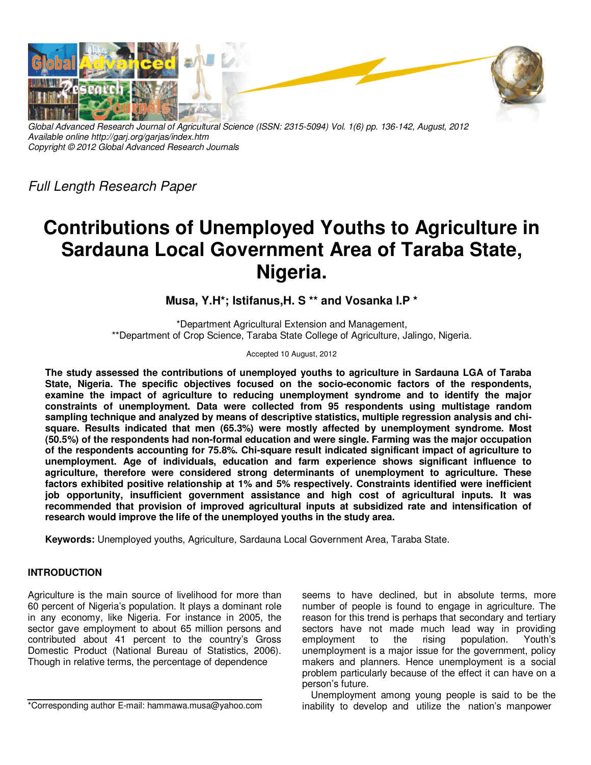

*Global Advanced Research Journal of Agricultural Science (ISSN: 2315-5094) Vol. 1(6) pp. 136-142, August, 2012 Available online http://garj.org/garjas/index.htm Copyright © 2012 Global Advanced Research Journals* 

*Full Length Research Paper* 

# **Contributions of Unemployed Youths to Agriculture in Sardauna Local Government Area of Taraba State, Nigeria.**

**Musa, Y.H\*; Istifanus,H. S \*\* and Vosanka I.P \*** 

\*Department Agricultural Extension and Management, \*\*Department of Crop Science, Taraba State College of Agriculture, Jalingo, Nigeria.

#### Accepted 10 August, 2012

**The study assessed the contributions of unemployed youths to agriculture in Sardauna LGA of Taraba State, Nigeria. The specific objectives focused on the socio-economic factors of the respondents, examine the impact of agriculture to reducing unemployment syndrome and to identify the major constraints of unemployment. Data were collected from 95 respondents using multistage random sampling technique and analyzed by means of descriptive statistics, multiple regression analysis and chisquare. Results indicated that men (65.3%) were mostly affected by unemployment syndrome. Most (50.5%) of the respondents had non-formal education and were single. Farming was the major occupation of the respondents accounting for 75.8%. Chi-square result indicated significant impact of agriculture to unemployment. Age of individuals, education and farm experience shows significant influence to agriculture, therefore were considered strong determinants of unemployment to agriculture. These factors exhibited positive relationship at 1% and 5% respectively. Constraints identified were inefficient job opportunity, insufficient government assistance and high cost of agricultural inputs. It was recommended that provision of improved agricultural inputs at subsidized rate and intensification of research would improve the life of the unemployed youths in the study area.** 

**Keywords:** Unemployed youths, Agriculture, Sardauna Local Government Area, Taraba State.

# **INTRODUCTION**

Agriculture is the main source of livelihood for more than 60 percent of Nigeria's population. It plays a dominant role in any economy, like Nigeria. For instance in 2005, the sector gave employment to about 65 million persons and contributed about 41 percent to the country's Gross Domestic Product (National Bureau of Statistics, 2006). Though in relative terms, the percentage of dependence

\*Corresponding author E-mail: hammawa.musa@yahoo.com

seems to have declined, but in absolute terms, more number of people is found to engage in agriculture. The reason for this trend is perhaps that secondary and tertiary sectors have not made much lead way in providing employment to the rising population. Youth's unemployment is a major issue for the government, policy makers and planners. Hence unemployment is a social problem particularly because of the effect it can have on a person's future.

Unemployment among young people is said to be the inability to develop and utilize the nation's manpower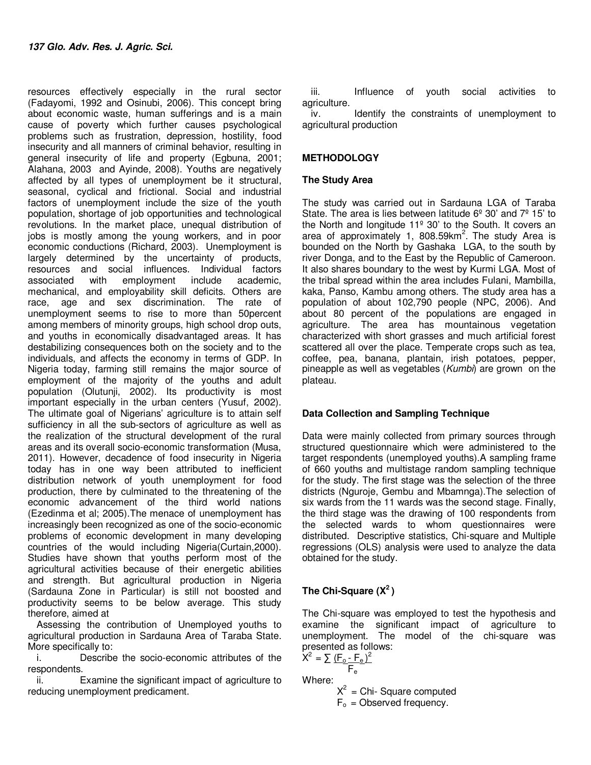resources effectively especially in the rural sector (Fadayomi, 1992 and Osinubi, 2006). This concept bring about economic waste, human sufferings and is a main cause of poverty which further causes psychological problems such as frustration, depression, hostility, food insecurity and all manners of criminal behavior, resulting in general insecurity of life and property (Egbuna, 2001; Alahana, 2003 and Ayinde, 2008). Youths are negatively affected by all types of unemployment be it structural, seasonal, cyclical and frictional. Social and industrial factors of unemployment include the size of the youth population, shortage of job opportunities and technological revolutions. In the market place, unequal distribution of jobs is mostly among the young workers, and in poor economic conductions (Richard, 2003). Unemployment is largely determined by the uncertainty of products, resources and social influences. Individual factors associated with employment include academic, mechanical, and employability skill deficits. Others are race, age and sex discrimination. The rate of unemployment seems to rise to more than 50percent among members of minority groups, high school drop outs, and youths in economically disadvantaged areas. It has destabilizing consequences both on the society and to the individuals, and affects the economy in terms of GDP. In Nigeria today, farming still remains the major source of employment of the majority of the youths and adult population (Olutunji, 2002). Its productivity is most important especially in the urban centers (Yusuf, 2002). The ultimate goal of Nigerians' agriculture is to attain self sufficiency in all the sub-sectors of agriculture as well as the realization of the structural development of the rural areas and its overall socio-economic transformation (Musa, 2011). However, decadence of food insecurity in Nigeria today has in one way been attributed to inefficient distribution network of youth unemployment for food production, there by culminated to the threatening of the economic advancement of the third world nations (Ezedinma et al; 2005).The menace of unemployment has increasingly been recognized as one of the socio-economic problems of economic development in many developing countries of the would including Nigeria(Curtain,2000). Studies have shown that youths perform most of the agricultural activities because of their energetic abilities and strength. But agricultural production in Nigeria (Sardauna Zone in Particular) is still not boosted and productivity seems to be below average. This study therefore, aimed at

Assessing the contribution of Unemployed youths to agricultural production in Sardauna Area of Taraba State. More specifically to:

i. Describe the socio-economic attributes of the respondents.

ii. Examine the significant impact of agriculture to reducing unemployment predicament.

iii. Influence of youth social activities to agriculture.

iv. Identify the constraints of unemployment to agricultural production

# **METHODOLOGY**

### **The Study Area**

The study was carried out in Sardauna LGA of Taraba State. The area is lies between latitude  $6^{\circ}$  30' and  $7^{\circ}$  15' to the North and longitude 11º 30' to the South. It covers an area of approximately 1, 808.59km<sup>2</sup>. The study Area is bounded on the North by Gashaka LGA, to the south by river Donga, and to the East by the Republic of Cameroon. It also shares boundary to the west by Kurmi LGA. Most of the tribal spread within the area includes Fulani, Mambilla, kaka, Panso, Kambu among others. The study area has a population of about 102,790 people (NPC, 2006). And about 80 percent of the populations are engaged in agriculture. The area has mountainous vegetation characterized with short grasses and much artificial forest scattered all over the place. Temperate crops such as tea, coffee, pea, banana, plantain, irish potatoes, pepper, pineapple as well as vegetables (*Kumbi*) are grown on the plateau.

# **Data Collection and Sampling Technique**

Data were mainly collected from primary sources through structured questionnaire which were administered to the target respondents (unemployed youths).A sampling frame of 660 youths and multistage random sampling technique for the study. The first stage was the selection of the three districts (Nguroje, Gembu and Mbamnga).The selection of six wards from the 11 wards was the second stage. Finally, the third stage was the drawing of 100 respondents from the selected wards to whom questionnaires were distributed. Descriptive statistics, Chi-square and Multiple regressions (OLS) analysis were used to analyze the data obtained for the study.

# **The Chi-Square (X<sup>2</sup>)**

The Chi-square was employed to test the hypothesis and examine the significant impact of agriculture to unemployment. The model of the chi-square was presented as follows:

$$
X^{2} = \sum \frac{(F_{0} - F_{e})^{2}}{F_{e}}
$$
  
Where:  

$$
X^{2} = Chi - Square computed
$$

 $F_0$  = Observed frequency.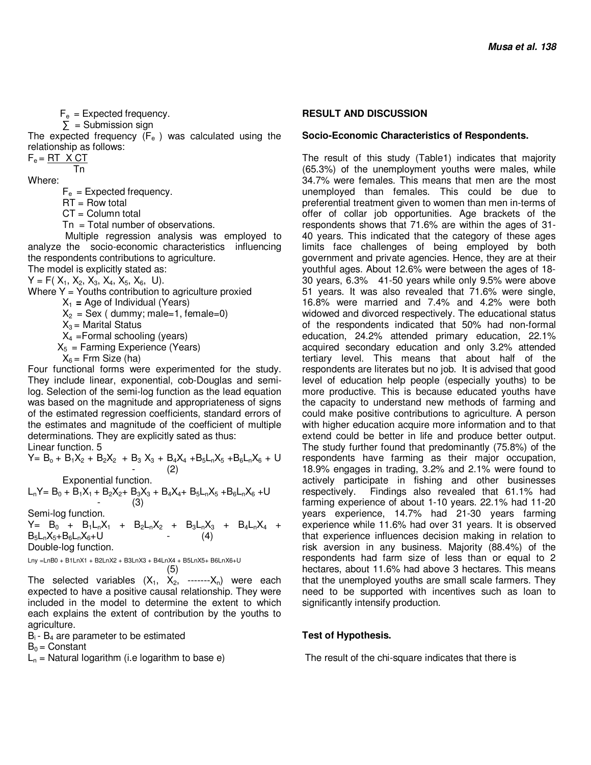$F_e$  = Expected frequency.

 $\Sigma$  = Submission sign

The expected frequency  $(F_e)$  was calculated using the relationship as follows:

 $F_e = RT \times CT$ Tn

Where:

 $F_e$  = Expected frequency.

 $RT = Row total$ 

 $CT = Column total$ 

 $Tn = Total number of observations.$ 

 Multiple regression analysis was employed to analyze the socio-economic characteristics influencing the respondents contributions to agriculture.

The model is explicitly stated as:  $Y = F(X_1, X_2, X_3, X_4, X_5, X_6, U).$ 

Where  $Y =$  Youths contribution to agriculture proxied

 $X_1$  = Age of Individual (Years)

 $X_2 =$  Sex ( dummy; male=1, female=0)

 $X_3$  = Marital Status

 $X_4$  = Formal schooling (years)

 $X<sub>5</sub>$  = Farming Experience (Years)

 $X_6$  = Frm Size (ha)

Four functional forms were experimented for the study. They include linear, exponential, cob-Douglas and semilog. Selection of the semi-log function as the lead equation was based on the magnitude and appropriateness of signs of the estimated regression coefficients, standard errors of the estimates and magnitude of the coefficient of multiple determinations. They are explicitly sated as thus:

Linear function. 5

 $Y = B_0 + B_1X_2 + B_2X_2 + B_3X_3 + B_4X_4 + B_5L_1X_5 + B_6L_1X_6 + U$  $-$  (2) Exponential function.

 $L_nY = B_0 + B_1X_1 + B_2X_2 + B_3X_3 + B_4X_4 + B_5L_nX_5 + B_6L_nX_6 + U$  $-$  (3)

Semi-log function.

 $Y = B_0 + B_1L_nX_1 + B_2L_nX_2 + B_3L_nX_3 + B_4L_nX_4 +$  $B_5L_nX_5+B_6L_nX_6+U$  - (4) Double-log function.

Lny =LnB0 + B1LnX1 + B2LnX2 + B3LnX3 + B4LnX4 + B5LnX5+ B6LnX6+U  $(5)$ 

The selected variables  $(X_1, X_2, \ldots, X_n)$  were each expected to have a positive causal relationship. They were included in the model to determine the extent to which each explains the extent of contribution by the youths to agriculture.

 $B<sub>i</sub>$  -  $B<sub>4</sub>$  are parameter to be estimated

 $B_0 =$  Constant

 $L_n$  = Natural logarithm (i.e logarithm to base e)

#### **RESULT AND DISCUSSION**

#### **Socio-Economic Characteristics of Respondents.**

The result of this study (Table1) indicates that majority (65.3%) of the unemployment youths were males, while 34.7% were females. This means that men are the most unemployed than females. This could be due to preferential treatment given to women than men in-terms of offer of collar job opportunities. Age brackets of the respondents shows that 71.6% are within the ages of 31- 40 years. This indicated that the category of these ages limits face challenges of being employed by both government and private agencies. Hence, they are at their youthful ages. About 12.6% were between the ages of 18- 30 years, 6.3% 41-50 years while only 9.5% were above 51 years. It was also revealed that 71.6% were single, 16.8% were married and 7.4% and 4.2% were both widowed and divorced respectively. The educational status of the respondents indicated that 50% had non-formal education, 24.2% attended primary education, 22.1% acquired secondary education and only 3.2% attended tertiary level. This means that about half of the respondents are literates but no job. It is advised that good level of education help people (especially youths) to be more productive. This is because educated youths have the capacity to understand new methods of farming and could make positive contributions to agriculture. A person with higher education acquire more information and to that extend could be better in life and produce better output. The study further found that predominantly (75.8%) of the respondents have farming as their major occupation, 18.9% engages in trading, 3.2% and 2.1% were found to actively participate in fishing and other businesses respectively. Findings also revealed that 61.1% had farming experience of about 1-10 years. 22.1% had 11-20 years experience, 14.7% had 21-30 years farming experience while 11.6% had over 31 years. It is observed that experience influences decision making in relation to risk aversion in any business. Majority (88.4%) of the respondents had farm size of less than or equal to 2 hectares, about 11.6% had above 3 hectares. This means that the unemployed youths are small scale farmers. They need to be supported with incentives such as loan to significantly intensify production.

# **Test of Hypothesis.**

The result of the chi-square indicates that there is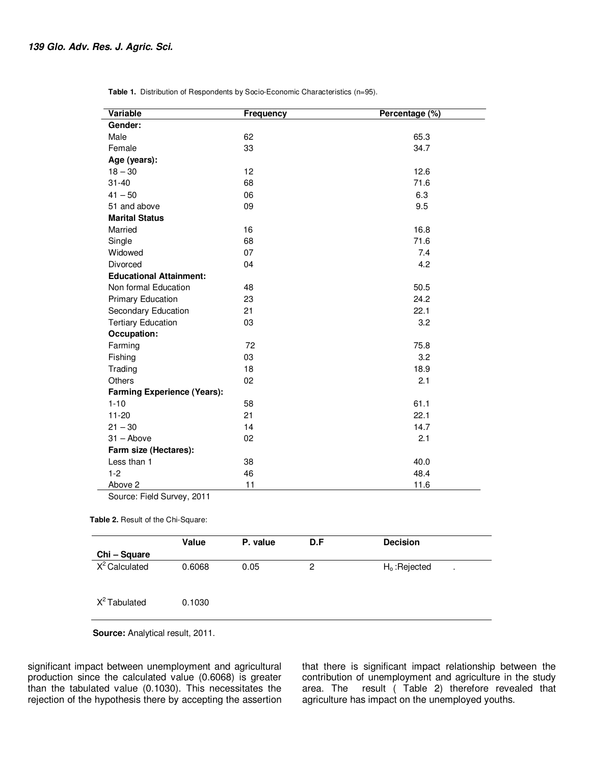| <b>Variable</b>                    | <b>Frequency</b> | Percentage (%) |
|------------------------------------|------------------|----------------|
| Gender:                            |                  |                |
| Male                               | 62               | 65.3           |
| Female                             | 33               | 34.7           |
| Age (years):                       |                  |                |
| $18 - 30$                          | 12               | 12.6           |
| $31 - 40$                          | 68               | 71.6           |
| $41 - 50$                          | 06               | 6.3            |
| 51 and above                       | 09               | 9.5            |
| <b>Marital Status</b>              |                  |                |
| Married                            | 16               | 16.8           |
| Single                             | 68               | 71.6           |
| Widowed                            | 07               | 7.4            |
| Divorced                           | 04               | 4.2            |
| <b>Educational Attainment:</b>     |                  |                |
| Non formal Education               | 48               | 50.5           |
| Primary Education                  | 23               | 24.2           |
| Secondary Education                | 21               | 22.1           |
| <b>Tertiary Education</b>          | 03               | 3.2            |
| Occupation:                        |                  |                |
| Farming                            | 72               | 75.8           |
| Fishing                            | 03               | 3.2            |
| Trading                            | 18               | 18.9           |
| <b>Others</b>                      | 02               | 2.1            |
| <b>Farming Experience (Years):</b> |                  |                |
| $1 - 10$                           | 58               | 61.1           |
| $11 - 20$                          | 21               | 22.1           |
| $21 - 30$                          | 14               | 14.7           |
| $31 -$ Above                       | 02               | 2.1            |
| Farm size (Hectares):              |                  |                |
| Less than 1                        | 38               | 40.0           |
| $1 - 2$                            | 46               | 48.4           |
| Above 2                            | 11               | 11.6           |

**Table 1.** Distribution of Respondents by Socio-Economic Characteristics (n=95).

Source: Field Survey, 2011

#### **Table 2.** Result of the Chi-Square:

|                          | Value  | P. value | D.F | <b>Decision</b>      |
|--------------------------|--------|----------|-----|----------------------|
| Chi - Square             |        |          |     |                      |
| $X^2$ Calculated         | 0.6068 | 0.05     | 2   | $Ho$ : Rejected<br>٠ |
| X <sup>2</sup> Tabulated | 0.1030 |          |     |                      |

**Source:** Analytical result, 2011.

significant impact between unemployment and agricultural production since the calculated value (0.6068) is greater than the tabulated value (0.1030). This necessitates the rejection of the hypothesis there by accepting the assertion that there is significant impact relationship between the contribution of unemployment and agriculture in the study area. The result ( Table 2) therefore revealed that agriculture has impact on the unemployed youths.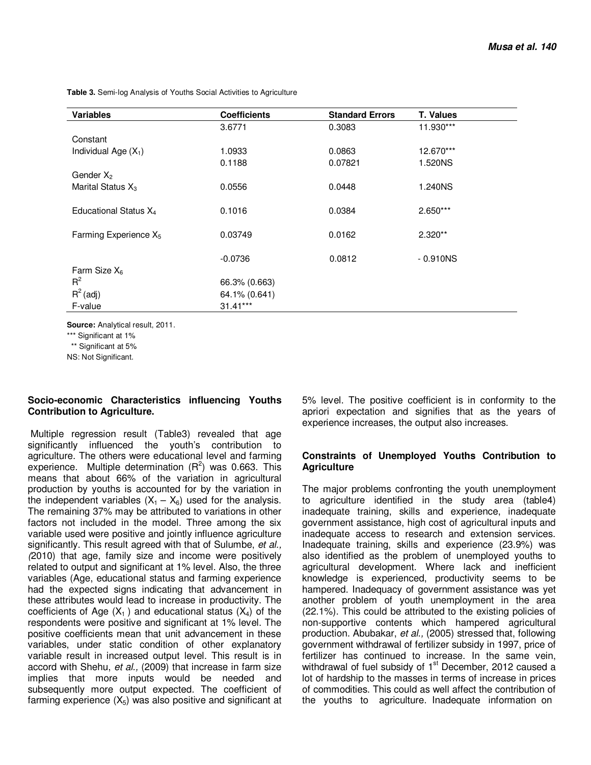**Table 3.** Semi-log Analysis of Youths Social Activities to Agriculture

| <b>Coefficients</b> | <b>Standard Errors</b>                                               | <b>T. Values</b> |
|---------------------|----------------------------------------------------------------------|------------------|
| 3.6771              | 0.3083                                                               | 11.930***        |
|                     |                                                                      |                  |
| 1.0933              | 0.0863                                                               | 12.670***        |
| 0.1188              | 0.07821                                                              | 1.520NS          |
|                     |                                                                      |                  |
| 0.0556              | 0.0448                                                               | 1.240NS          |
|                     |                                                                      |                  |
| 0.1016              | 0.0384                                                               | $2.650***$       |
|                     |                                                                      |                  |
|                     |                                                                      | $2.320**$        |
|                     |                                                                      | $-0.910NS$       |
|                     |                                                                      |                  |
|                     |                                                                      |                  |
|                     |                                                                      |                  |
|                     |                                                                      |                  |
|                     |                                                                      |                  |
|                     | 0.03749<br>$-0.0736$<br>66.3% (0.663)<br>64.1% (0.641)<br>$31.41***$ | 0.0162<br>0.0812 |

**Source:** Analytical result, 2011.

\*\*\* Significant at 1%

\*\* Significant at 5%

NS: Not Significant.

#### **Socio-economic Characteristics influencing Youths Contribution to Agriculture.**

Multiple regression result (Table3) revealed that age significantly influenced the youth's contribution to agriculture. The others were educational level and farming experience. Multiple determination  $(R^2)$  was 0.663. This means that about 66% of the variation in agricultural production by youths is accounted for by the variation in the independent variables  $(X_1 - X_6)$  used for the analysis. The remaining 37% may be attributed to variations in other factors not included in the model. Three among the six variable used were positive and jointly influence agriculture significantly. This result agreed with that of Sulumbe, *et al., (*2010) that age, family size and income were positively related to output and significant at 1% level. Also, the three variables (Age, educational status and farming experience had the expected signs indicating that advancement in these attributes would lead to increase in productivity. The coefficients of Age  $(X_1)$  and educational status  $(X_4)$  of the respondents were positive and significant at 1% level. The positive coefficients mean that unit advancement in these variables, under static condition of other explanatory variable result in increased output level. This result is in accord with Shehu, *et al.,* (2009) that increase in farm size implies that more inputs would be needed and subsequently more output expected. The coefficient of farming experience  $(X_5)$  was also positive and significant at

5% level. The positive coefficient is in conformity to the apriori expectation and signifies that as the years of experience increases, the output also increases.

#### **Constraints of Unemployed Youths Contribution to Agriculture**

The major problems confronting the youth unemployment to agriculture identified in the study area (table4) inadequate training, skills and experience, inadequate government assistance, high cost of agricultural inputs and inadequate access to research and extension services. Inadequate training, skills and experience (23.9%) was also identified as the problem of unemployed youths to agricultural development. Where lack and inefficient knowledge is experienced, productivity seems to be hampered. Inadequacy of government assistance was yet another problem of youth unemployment in the area (22.1%). This could be attributed to the existing policies of non-supportive contents which hampered agricultural production. Abubakar, *et al.,* (2005) stressed that, following government withdrawal of fertilizer subsidy in 1997, price of fertilizer has continued to increase. In the same vein, withdrawal of fuel subsidy of  $1<sup>st</sup>$  December, 2012 caused a lot of hardship to the masses in terms of increase in prices of commodities. This could as well affect the contribution of the youths to agriculture. Inadequate information on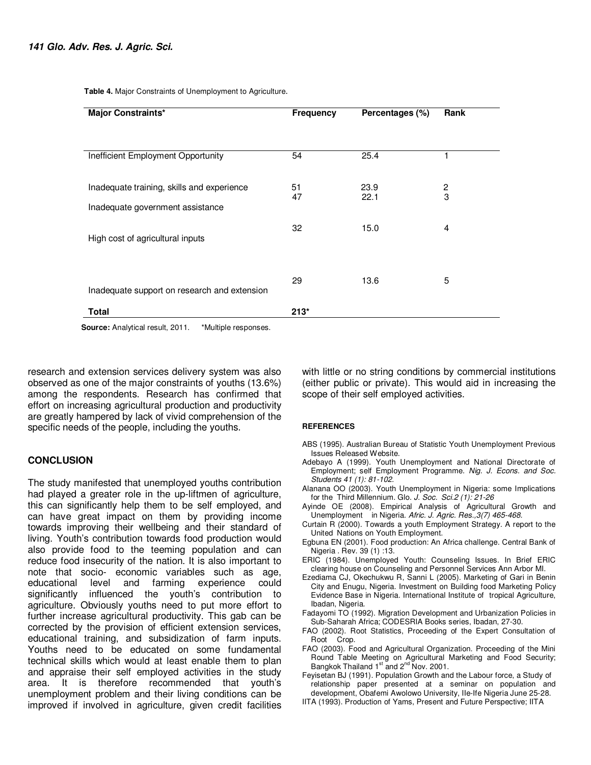| <b>Major Constraints*</b>                                                      | <b>Frequency</b> | Percentages (%) | Rank                |  |  |  |
|--------------------------------------------------------------------------------|------------------|-----------------|---------------------|--|--|--|
|                                                                                |                  |                 |                     |  |  |  |
| Inefficient Employment Opportunity                                             | 54               | 25.4            | 1                   |  |  |  |
| Inadequate training, skills and experience<br>Inadequate government assistance | 51<br>47         | 23.9<br>22.1    | $\overline{c}$<br>3 |  |  |  |
| High cost of agricultural inputs                                               | 32               | 15.0            | $\overline{4}$      |  |  |  |
| Inadequate support on research and extension                                   | 29               | 13.6            | 5                   |  |  |  |
| <b>Total</b>                                                                   | $213*$           |                 |                     |  |  |  |
| Courset Analytical result 2011<br>$*$ Multiple recononces                      |                  |                 |                     |  |  |  |

**Table 4.** Major Constraints of Unemployment to Agriculture.

**Source:** Analytical result, 2011. \* Multiple responses.

research and extension services delivery system was also observed as one of the major constraints of youths (13.6%) among the respondents. Research has confirmed that effort on increasing agricultural production and productivity are greatly hampered by lack of vivid comprehension of the specific needs of the people, including the youths.

#### **CONCLUSION**

The study manifested that unemployed youths contribution had played a greater role in the up-liftmen of agriculture, this can significantly help them to be self employed, and can have great impact on them by providing income towards improving their wellbeing and their standard of living. Youth's contribution towards food production would also provide food to the teeming population and can reduce food insecurity of the nation. It is also important to note that socio- economic variables such as age, educational level and farming experience could significantly influenced the youth's contribution to agriculture. Obviously youths need to put more effort to further increase agricultural productivity. This gab can be corrected by the provision of efficient extension services, educational training, and subsidization of farm inputs. Youths need to be educated on some fundamental technical skills which would at least enable them to plan and appraise their self employed activities in the study area. It is therefore recommended that youth's unemployment problem and their living conditions can be improved if involved in agriculture, given credit facilities

with little or no string conditions by commercial institutions (either public or private). This would aid in increasing the scope of their self employed activities.

#### **REFERENCES**

- ABS (1995). Australian Bureau of Statistic Youth Unemployment Previous Issues Released Website.
- Adebayo A (1999). Youth Unemployment and National Directorate of Employment; self Employment Programme. *Nig. J. Econs. and Soc. Students 41 (1): 81-102.*
- Alanana OO (2003). Youth Unemployment in Nigeria: some Implications for the Third Millennium. Glo. *J. Soc. Sci.2 (1): 21-26*
- Ayinde OE (2008). Empirical Analysis of Agricultural Growth and Unemployment in Nigeria. *Afric. J. Agric. Res.,3(7) 465-468.*
- Curtain R (2000). Towards a youth Employment Strategy. A report to the United Nations on Youth Employment.
- Egbuna EN (2001). Food production: An Africa challenge. Central Bank of Nigeria . Rev. 39 (1) :13.
- ERIC (1984). Unemployed Youth: Counseling Issues. In Brief ERIC clearing house on Counseling and Personnel Services Ann Arbor MI.
- Ezediama CJ, Okechukwu R, Sanni L (2005). Marketing of Gari in Benin City and Enugu, Nigeria. Investment on Building food Marketing Policy Evidence Base in Nigeria. International Institute of tropical Agriculture, Ibadan, Nigeria.
- Fadayomi TO (1992). Migration Development and Urbanization Policies in Sub-Saharah Africa; CODESRIA Books series, Ibadan, 27-30.
- FAO (2002). Root Statistics, Proceeding of the Expert Consultation of Root Crop.
- FAO (2003). Food and Agricultural Organization. Proceeding of the Mini Round Table Meeting on Agricultural Marketing and Food Security;<br>Bangkok Thailand 1<sup>st</sup> and 2<sup>nd</sup> Nov. 2001.
- Feyisetan BJ (1991). Population Growth and the Labour force, a Study of relationship paper presented at a seminar on population and development, Obafemi Awolowo University, IIe-Ife Nigeria June 25-28.
- IITA (1993). Production of Yams, Present and Future Perspective; IITA